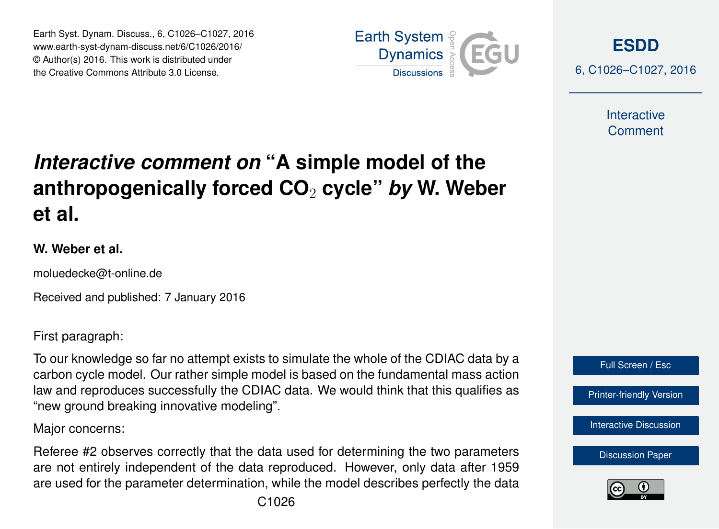Earth Syst. Dynam. Discuss., 6, C1026–C1027, 2016 www.earth-syst-dynam-discuss.net/6/C1026/2016/ © Author(s) 2016. This work is distributed under the Creative Commons Attribute 3.0 License.



**[ESDD](http://www.earth-syst-dynam-discuss.net)**

6, C1026–C1027, 2016

**Interactive** Comment

## *Interactive comment on* **"A simple model of the anthropogenically forced CO**<sup>2</sup> **cycle"** *by* **W. Weber et al.**

## **W. Weber et al.**

moluedecke@t-online.de

Received and published: 7 January 2016

First paragraph:

To our knowledge so far no attempt exists to simulate the whole of the CDIAC data by a carbon cycle model. Our rather simple model is based on the fundamental mass action law and reproduces successfully the CDIAC data. We would think that this qualifies as "new ground breaking innovative modeling".

Major concerns:

Referee #2 observes correctly that the data used for determining the two parameters are not entirely independent of the data reproduced. However, only data after 1959 are used for the parameter determination, while the model describes perfectly the data



Full Screen / Esc

[Printer-friendly Version](http://www.earth-syst-dynam-discuss.net/6/C1026/2016/esdd-6-C1026-2016-print.pdf)

[Interactive Discussion](http://www.earth-syst-dynam-discuss.net/6/2043/2015/esdd-6-2043-2015-discussion.html)

[Discussion Paper](http://www.earth-syst-dynam-discuss.net/6/2043/2015/esdd-6-2043-2015.pdf)